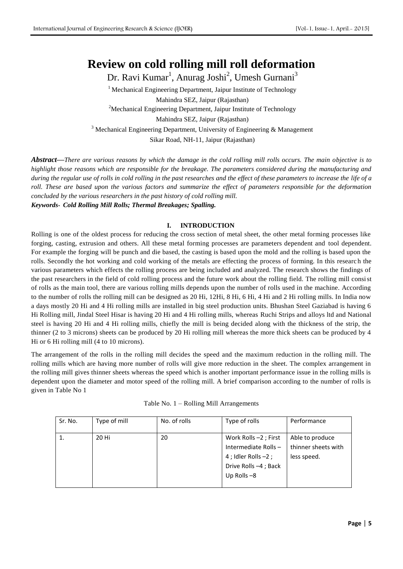# **Review on cold rolling mill roll deformation**

Dr. Ravi Kumar<sup>1</sup>, Anurag Joshi<sup>2</sup>, Umesh Gurnani<sup>3</sup>

 $1$  Mechanical Engineering Department, Jaipur Institute of Technology Mahindra SEZ, Jaipur (Rajasthan) <sup>2</sup>Mechanical Engineering Department, Jaipur Institute of Technology Mahindra SEZ, Jaipur (Rajasthan)  $3$  Mechanical Engineering Department, University of Engineering & Management Sikar Road, NH-11, Jaipur (Rajasthan)

*Abstract***—***There are various reasons by which the damage in the cold rolling mill rolls occurs. The main objective is to highlight those reasons which are responsible for the breakage. The parameters considered during the manufacturing and during the regular use of rolls in cold rolling in the past researches and the effect of these parameters to increase the life of a roll. These are based upon the various factors and summarize the effect of parameters responsible for the deformation concluded by the various researchers in the past history of cold rolling mill.*

*Keywords***-** *Cold Rolling Mill Rolls; Thermal Breakages; Spalling.*

## **I. INTRODUCTION**

Rolling is one of the oldest process for reducing the cross section of metal sheet, the other metal forming processes like forging, casting, extrusion and others. All these metal forming processes are parameters dependent and tool dependent. For example the forging will be punch and die based, the casting is based upon the mold and the rolling is based upon the rolls. Secondly the hot working and cold working of the metals are effecting the process of forming. In this researc h the various parameters which effects the rolling process are being included and analyzed. The research shows the findings of the past researchers in the field of cold rolling process and the future work about the rolling field. The rolling mill consist of rolls as the main tool, there are various rolling mills depends upon the number of rolls used in the machine. According to the number of rolls the rolling mill can be designed as 20 Hi, 12Hi, 8 Hi, 6 Hi, 4 Hi and 2 Hi rolling mills. In India now a days mostly 20 Hi and 4 Hi rolling mills are installed in big steel production units. Bhushan Steel Gaziabad is having 6 Hi Rolling mill, Jindal Steel Hisar is having 20 Hi and 4 Hi rolling mills, whereas Ruchi Strips and alloys ltd and National steel is having 20 Hi and 4 Hi rolling mills, chiefly the mill is being decided along with the thickness of the strip, the thinner (2 to 3 microns) sheets can be produced by 20 Hi rolling mill whereas the more thick sheets can be produced by 4 Hi or 6 Hi rolling mill (4 to 10 microns).

The arrangement of the rolls in the rolling mill decides the speed and the maximum reduction in the rolling mill. The rolling mills which are having more number of rolls will give more reduction in the sheet. The complex arrangement in the rolling mill gives thinner sheets whereas the speed which is another important performance issue in the rolling mills is dependent upon the diameter and motor speed of the rolling mill. A brief comparison according to the number of rolls is given in Table No 1

|  |  | Table No. 1 - Rolling Mill Arrangements |
|--|--|-----------------------------------------|
|--|--|-----------------------------------------|

| Sr. No. | Type of mill | No. of rolls | Type of rolls          | Performance         |
|---------|--------------|--------------|------------------------|---------------------|
|         | 20 Hi        | 20           | Work Rolls -2 ; First  | Able to produce     |
|         |              |              | Intermediate Rolls-    | thinner sheets with |
|         |              |              | 4 ; Idler Rolls $-2$ ; | less speed.         |
|         |              |              | Drive Rolls -4; Back   |                     |
|         |              |              | Up Rolls $-8$          |                     |
|         |              |              |                        |                     |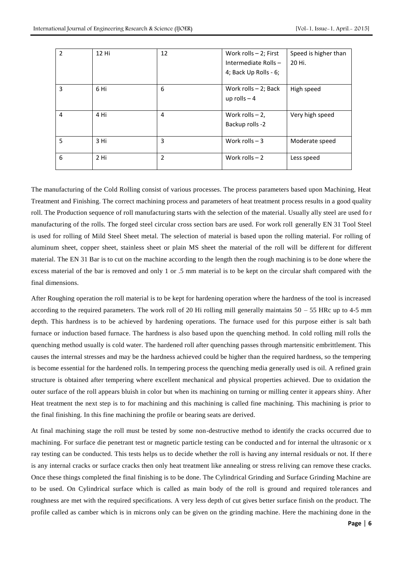| $\overline{2}$ | 12 Hi | 12 | Work rolls - 2; First<br>Intermediate Rolls-<br>4; Back Up Rolls - 6; | Speed is higher than<br>20 Hi. |
|----------------|-------|----|-----------------------------------------------------------------------|--------------------------------|
| 3              | 6 Hi  | 6  | Work rolls $-2$ ; Back<br>up rolls $-4$                               | High speed                     |
| 4              | 4 Hi  | 4  | Work rolls $-2$ ,<br>Backup rolls -2                                  | Very high speed                |
| 5              | 3 Hi  | 3  | Work rolls $-3$                                                       | Moderate speed                 |
| 6              | 2 Hi  | 2  | Work rolls $-2$                                                       | Less speed                     |

The manufacturing of the Cold Rolling consist of various processes. The process parameters based upon Machining, Heat Treatment and Finishing. The correct machining process and parameters of heat treatment process results in a good quality roll. The Production sequence of roll manufacturing starts with the selection of the material. Usually ally steel are used fo r manufacturing of the rolls. The forged steel circular cross section bars are used. For work roll generally EN 31 Tool Steel is used for rolling of Mild Steel Sheet metal. The selection of material is based upon the rolling material. For rolling of aluminum sheet, copper sheet, stainless sheet or plain MS sheet the material of the roll will be different for different material. The EN 31 Bar is to cut on the machine according to the length then the rough machining is to be done where the excess material of the bar is removed and only 1 or .5 mm material is to be kept on the circular shaft compared with the final dimensions.

After Roughing operation the roll material is to be kept for hardening operation where the hardness of the tool is increased according to the required parameters. The work roll of 20 Hi rolling mill generally maintains  $50 - 55$  HRc up to 4-5 mm depth. This hardness is to be achieved by hardening operations. The furnace used for this purpose either is salt bath furnace or induction based furnace. The hardness is also based upon the quenching method. In cold rolling mill rolls the quenching method usually is cold water. The hardened roll after quenching passes through martensitic embrittlement. This causes the internal stresses and may be the hardness achieved could be higher than the required hardness, so the tempering is become essential for the hardened rolls. In tempering process the quenching media generally used is oil. A refined grain structure is obtained after tempering where excellent mechanical and physical properties achieved. Due to oxidation the outer surface of the roll appears bluish in color but when its machining on turning or milling center it appears shiny. After Heat treatment the next step is to for machining and this machining is called fine machining. This machining is prior to the final finishing. In this fine machining the profile or bearing seats are derived.

At final machining stage the roll must be tested by some non-destructive method to identify the cracks occurred due to machining. For surface die penetrant test or magnetic particle testing can be conducted and for internal the ultrasonic or x ray testing can be conducted. This tests helps us to decide whether the roll is having any internal residuals or not. If ther e is any internal cracks or surface cracks then only heat treatment like annealing or stress re living can remove these cracks. Once these things completed the final finishing is to be done. The Cylindrical Grinding and Surface Grinding Machine are to be used. On Cylindrical surface which is called as main body of the roll is ground and required tole rances and roughness are met with the required specifications. A very less depth of cut gives better surface finish on the product. The profile called as camber which is in microns only can be given on the grinding machine. Here the machining done in the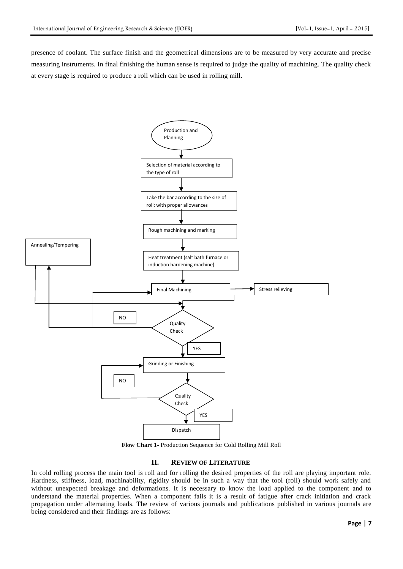presence of coolant. The surface finish and the geometrical dimensions are to be measured by very accurate and precise measuring instruments. In final finishing the human sense is required to judge the quality of machining. The quality check at every stage is required to produce a roll which can be used in rolling mill.



**Flow Chart 1-** Production Sequence for Cold Rolling Mill Roll

## **II.** REVIEW OF LITERATURE

In cold rolling process the main tool is roll and for rolling the desired properties of the roll are playing important role. Hardness, stiffness, load, machinability, rigidity should be in such a way that the tool (roll) should work safely and without unexpected breakage and deformations. It is necessary to know the load applied to the component and to understand the material properties. When a component fails it is a result of fatigue after crack initiation and crack propagation under alternating loads. The review of various journals and publications published in various journals are being considered and their findings are as follows: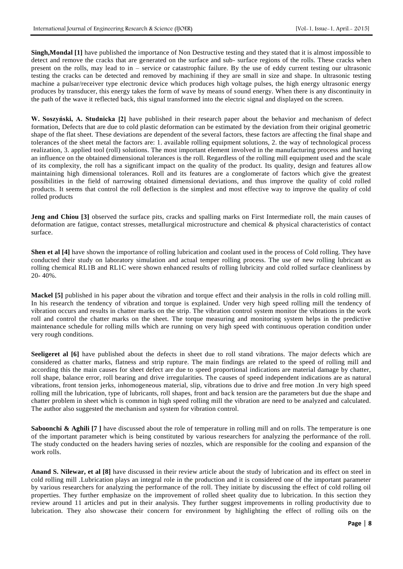**Singh,Mondal [1]** have published the importance of Non Destructive testing and they stated that it is almost impossible to detect and remove the cracks that are generated on the surface and sub- surface regions of the rolls. These cracks when present on the rolls, may lead to in – service or catastrophic failure. By the use of eddy current testing our ultrasonic testing the cracks can be detected and removed by machining if they are small in size and shape. In ultrasonic testing machine a pulsar/receiver type electronic device which produces high voltage pulses, the high energy ultrasonic energy produces by transducer, this energy takes the form of wave by means of sound energy. When there is any discontinuity in the path of the wave it reflected back, this signal transformed into the electric signal and displayed on the screen.

**W. Soszyński, A. Studnicka [2]** have published in their research paper about the behavior and mechanism of defect formation, Defects that are due to cold plastic deformation can be estimated by the deviation from their original geometric shape of the flat sheet. These deviations are dependent of the several factors, these factors are affecting the final shape and tolerances of the sheet metal the factors are: 1. available rolling equipment solutions, 2. the way of technological process realization, 3. applied tool (roll) solutions. The most important element involved in the manufacturing process and having an influence on the obtained dimensional tolerances is the roll. Regardless of the rolling mill equipment used and the scale of its complexity, the roll has a significant impact on the quality of the product. Its quality, design and features all ow maintaining high dimensional tolerances. Roll and its features are a conglomerate of factors which give the greatest possibilities in the field of narrowing obtained dimensional deviations, and thus improve the quality of cold rolled products. It seems that control the roll deflection is the simplest and most effective way to improve the quality of cold rolled products

**Jeng and Chiou [3]** observed the surface pits, cracks and spalling marks on First Intermediate roll, the main causes of deformation are fatigue, contact stresses, metallurgical microstructure and chemical & physical characteristics of contact surface.

**Shen et al [4]** have shown the importance of rolling lubrication and coolant used in the process of Cold rolling. They have conducted their study on laboratory simulation and actual temper rolling process. The use of new rolling lubricant as rolling chemical RL1B and RL1C were shown enhanced results of rolling lubricity and cold rolled surface cleanliness by 20- 40%.

**Mackel [5]** published in his paper about the vibration and torque effect and their analysis in the rolls in cold rolling mill. In his research the tendency of vibration and torque is explained. Under very high speed rolling mill the tendency of vibration occurs and results in chatter marks on the strip. The vibration control system monitor the vibrations in the work roll and control the chatter marks on the sheet. The torque measuring and monitoring system helps in the predictive maintenance schedule for rolling mills which are running on very high speed with continuous operation condition under very rough conditions.

**Seeligeret al [6]** have published about the defects in sheet due to roll stand vibrations. The major defects which are considered as chatter marks, flatness and strip rupture. The main findings are related to the speed of rolling mill and according this the main causes for sheet defect are due to speed proportional indications are material damage by chatter, roll shape, balance error, roll bearing and drive irregularities. The causes of speed independent indications are as natural vibrations, front tension jerks, inhomogeneous material, slip, vibrations due to drive and free motion .In very high speed rolling mill the lubrication, type of lubricants, roll shapes, front and back tension are the parameters but due the shape and chatter problem in sheet which is common in high speed rolling mill the vibration are need to be analyzed and calculated. The author also suggested the mechanism and system for vibration control.

**Saboonchi & Aghili** [7] have discussed about the role of temperature in rolling mill and on rolls. The temperature is one of the important parameter which is being constituted by various researchers for analyzing the performance of the roll. The study conducted on the headers having series of nozzles, which are responsible for the cooling and expansion of the work rolls.

**Anand S. Nilewar, et al [8]** have discussed in their review article about the study of lubrication and its effect on steel in cold rolling mill .Lubrication plays an integral role in the production and it is considered one of the important parameter by various researchers for analyzing the performance of the roll. They initiate by discussing the effect of cold rolling oil properties. They further emphasize on the improvement of rolled sheet quality due to lubrication. In this section they review around 11 articles and put in their analysis. They further suggest improvements in rolling productivity due to lubrication. They also showcase their concern for environment by highlighting the effect of rolling oils on the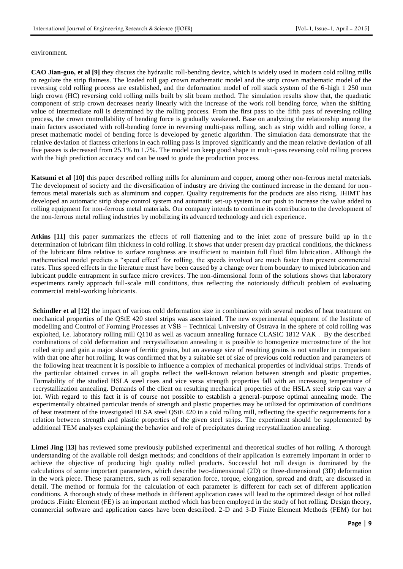#### environment.

**CAO Jian-guo, et al [9]** they discuss the hydraulic roll-bending device, which is widely used in modern cold rolling mills to regulate the strip flatness. The loaded roll gap crown mathematic model and the strip crown mathematic model of the reversing cold rolling process are established, and the deformation model of roll stack system of the 6 -high 1 250 mm high crown (HC) reversing cold rolling mills built by slit beam method. The simulation results show that, the quadratic component of strip crown decreases nearly linearly with the increase of the work roll bending force, when the shifting value of intermediate roll is determined by the rolling process. From the first pass to the fifth pass of reversing rolling process, the crown controllability of bending force is gradually weakened. Base on analyzing the relationship among the main factors associated with roll-bending force in reversing multi-pass rolling, such as strip width and rolling force, a preset mathematic model of bending force is developed by genetic algorithm. The simulation data demonstrate that the relative deviation of flatness criterions in each rolling pass is improved significantly and the mean relative deviation of all five passes is decreased from 25.1% to 1.7%. The model can keep good shape in multi-pass reversing cold rolling process with the high prediction accuracy and can be used to guide the production process.

**Katsumi et al [10]** this paper described rolling mills for aluminum and copper, among other non-ferrous metal materials. The development of society and the diversification of industry are driving the continued increase in the demand for non ferrous metal materials such as aluminum and copper. Quality requirements for the products are also rising. IHIMT has developed an automatic strip shape control system and automatic set-up system in our push to increase the value added to rolling equipment for non-ferrous metal materials. Our company intends to continue its contribution to the development of the non-ferrous metal rolling industries by mobilizing its advanced technology and rich experience.

**Atkins [11]** this paper summarizes the effects of roll flattening and to the inlet zone of pressure build up in the determination of lubricant film thickness in cold rolling. It shows that under present day practical conditions, the thickness of the lubricant films relative to surface roughness are insufficient to maintain full fluid film lubrication . Although the mathematical model predicts a "speed effect" for rolling, the speeds involved are much faster than present commercial rates. Thus speed effects in the literature must have been caused by a change over from boundary to mixed lubrication and lubricant puddle entrapment in surface micro crevices. The non-dimensional form of the solutions shows that laboratory experiments rarely approach full-scale mill conditions, thus reflecting the notoriously difficult problem of evaluating commercial metal-working lubricants.

**Schindler et al [12]** the impact of various cold deformation size in combination with several modes of heat treatment on mechanical properties of the QStE 420 steel strips was ascertained. The new experimental equipment of the Institute of modelling and Control of Forming Processes at VŠB – Technical University of Ostrava in the sphere of cold rolling was exploited, i.e. laboratory rolling mill Q110 as well as vacuum annealing furnace CLASIC 1812 VAK . By the described combinations of cold deformation and recrystallization annealing it is possible to homogenize microstructure of the hot rolled strip and gain a major share of ferritic grains, but an average size of resulting grains is not smaller in comparison with that one after hot rolling. It was confirmed that by a suitable set of size of previous cold reduction and parameters of the following heat treatment it is possible to influence a complex of mechanical properties of individual strips. Trends of the particular obtained curves in all graphs reflect the well-known relation between strength and plastic properties. Formability of the studied HSLA steel rises and vice versa strength properties fall with an increasing temperature of recrystallization annealing. Demands of the client on resulting mechanical properties of the HSLA steel strip can vary a lot. With regard to this fact it is of course not possible to establish a general-purpose optimal annealing mode. The experimentally obtained particular trends of strength and plastic properties may be utilized for optimization of conditions of heat treatment of the investigated HLSA steel QStE 420 in a cold rolling mill, reflecting the specific requirements for a relation between strength and plastic properties of the given steel strips. The experiment should be supplemented by additional TEM analyses explaining the behavior and role of precipitates during recrystallization annealing.

**Limei Jing [13]** has reviewed some previously published experimental and theoretical studies of hot rolling. A thorough understanding of the available roll design methods; and conditions of their application is extremely important in order to achieve the objective of producing high quality rolled products. Successful hot roll design is dominated by the calculations of some important parameters, which describe two-dimensional (2D) or three-dimensional (3D) deformation in the work piece. These parameters, such as roll separation force, torque, elongation, spread and draft, are discussed in detail. The method or formula for the calculation of each parameter is different for each set of different application conditions. A thorough study of these methods in different application cases will lead to the optimized design of hot rolled products .Finite Element (FE) is an important method which has been employed in the study of hot rolling. Design theory, commercial software and application cases have been described. 2-D and 3-D Finite Element Methods (FEM) for hot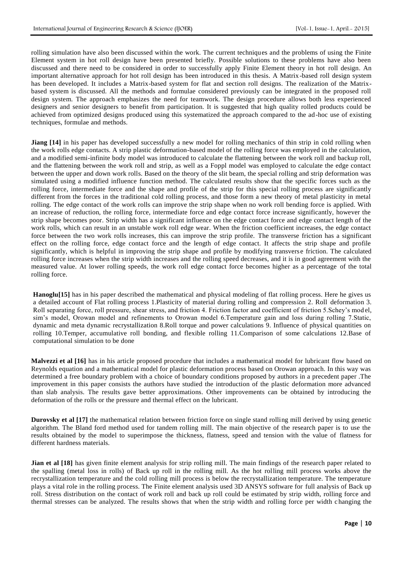rolling simulation have also been discussed within the work. The current techniques and the problems of using the Finite Element system in hot roll design have been presented briefly. Possible solutions to these problems have also been discussed and there need to be considered in order to successfully apply Finite Element theory in hot roll design. An important alternative approach for hot roll design has been introduced in this thesis. A Matrix-based roll design system has been developed. It includes a Matrix-based system for flat and section roll designs. The realization of the Matrixbased system is discussed. All the methods and formulae considered previously can be integrated in the proposed roll design system. The approach emphasizes the need for teamwork. The design procedure allows both less experienced designers and senior designers to benefit from participation. It is suggested that high quality rolled products could be achieved from optimized designs produced using this systematized the approach compared to the ad-hoc use of existing techniques, formulae and methods.

**Jiang [14]** in his paper has developed successfully a new model for rolling mechanics of thin strip in cold rolling when the work rolls edge contacts. A strip plastic deformation-based model of the rolling force was employed in the calculation, and a modified semi-infinite body model was introduced to calculate the flattening between the work roll and backup roll, and the flattening between the work roll and strip, as well as a Foppl model was employed to calculate the edge contact between the upper and down work rolls. Based on the theory of the slit beam, the special rolling and strip deformation was simulated using a modified influence function method. The calculated results show that the specific forces such as the rolling force, intermediate force and the shape and profile of the strip for this special rolling process are significantly different from the forces in the traditional cold rolling process, and those form a new theory of metal plasticity in metal rolling. The edge contact of the work rolls can improve the strip shape when no work roll bending force is applied. With an increase of reduction, the rolling force, intermediate force and edge contact force increase significantly, however the strip shape becomes poor. Strip width has a significant influence on the edge contact force and edge contact length of the work rolls, which can result in an unstable work roll edge wear. When the friction coefficient increases, the edge contact force between the two work rolls increases, this can improve the strip profile. The transverse friction has a significant effect on the rolling force, edge contact force and the length of edge contact. It affects the strip shape and profile significantly, which is helpful in improving the strip shape and profile by modifying transverse friction. The calculated rolling force increases when the strip width increases and the rolling speed decreases, and it is in good agreement with the measured value. At lower rolling speeds, the work roll edge contact force becomes higher as a percentage of the total rolling force.

**Hanoglu[15]** has in his paper described the mathematical and physical modeling of flat rolling process. Here he gives us a detailed account of Flat rolling process 1.Plasticity of material during rolling and compression 2. Roll deformation 3. Roll separating force, roll pressure, shear stress, and friction 4. Friction factor and coefficient of friction 5.Schey's mod el, sim's model, Orowan model and refinements to Orowan model 6.Temperature gain and loss during rolling 7.Static, dynamic and meta dynamic recrystallization 8.Roll torque and power calculations 9. Influence of physical quantities on rolling 10.Temper, accumulative roll bonding, and flexible rolling 11.Comparison of some calculations 12.Base of computational simulation to be done

**Malvezzi et al [16]** has in his article proposed procedure that includes a mathematical model for lubricant flow based on Reynolds equation and a mathematical model for plastic deformation process based on Orowan approach. In this way was determined a free boundary problem with a choice of boundary conditions proposed by authors in a precedent paper .The improvement in this paper consists the authors have studied the introduction of the plastic deformation more advanced than slab analysis. The results gave better approximations. Other improvements can be obtained by introducing the deformation of the rolls or the pressure and thermal effect on the lubricant.

**Durovsky et al [17]** the mathematical relation between friction force on single stand rolling mill derived by using genetic algorithm. The Bland ford method used for tandem rolling mill. The main objective of the research paper is to use the results obtained by the model to superimpose the thickness, flatness, speed and tension with the value of flatness for different hardness materials.

**Jian et al [18]** has given finite element analysis for strip rolling mill. The main findings of the research paper related to the spalling (metal loss in rolls) of Back up roll in the rolling mill. As the hot rolling mill process works above the recrystallization temperature and the cold rolling mill process is below the recrystallization temperature. The temperature plays a vital role in the rolling process. The Finite element analysis used 3D ANSYS software for full analysis of Back up roll. Stress distribution on the contact of work roll and back up roll could be estimated by strip width, rolling force and thermal stresses can be analyzed. The results shows that when the strip width and rolling force per width c hanging the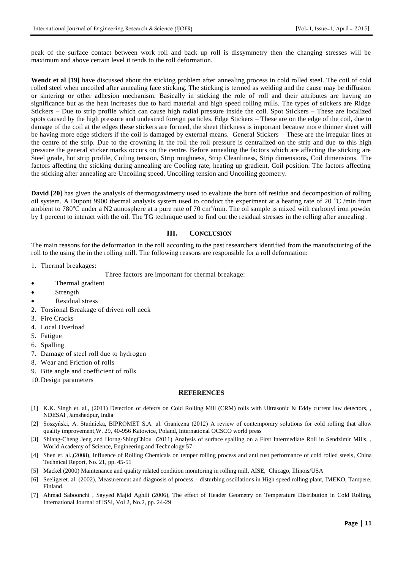peak of the surface contact between work roll and back up roll is dissymmetry then the changing stresses will be maximum and above certain level it tends to the roll deformation.

**Wendt et al [19]** have discussed about the sticking problem after annealing process in cold rolled steel. The coil of cold rolled steel when uncoiled after annealing face sticking. The sticking is termed as welding and the cause may be diffusion or sintering or other adhesion mechanism. Basically in sticking the role of roll and their attributes are having no significance but as the heat increases due to hard material and high speed rolling mills. The types of stickers are Ridge Stickers – Due to strip profile which can cause high radial pressure inside the coil. Spot Stickers – These are localized spots caused by the high pressure and undesired foreign particles. Edge Stickers – These are on the edge of the coil, due to damage of the coil at the edges these stickers are formed, the sheet thickness is important because more thinner sheet will be having more edge stickers if the coil is damaged by external means. General Stickers – These are the irregular lines at the centre of the strip. Due to the crowning in the roll the roll pressure is centralized on the strip and due to this high pressure the general sticker marks occurs on the centre. Before annealing the factors which are affecting the sticking are Steel grade, hot strip profile, Coiling tension, Strip roughness, Strip Cleanliness, Strip dimensions, Coil dimensions. The factors affecting the sticking during annealing are Cooling rate, heating up gradient, Coil position. The factors affecting the sticking after annealing are Uncoiling speed, Uncoiling tension and Uncoiling geometry.

**David [20]** has given the analysis of thermogravimetry used to evaluate the burn off residue and decomposition of rolling oil system. A Dupont 9900 thermal analysis system used to conduct the experiment at a heating rate of 20  $^{\circ}$ C /min from ambient to 780 $^{\circ}$ C under a N2 atmosphere at a pure rate of 70 cm<sup>3</sup>/min. The oil sample is mixed with carbonyl iron powder by 1 percent to interact with the oil. The TG technique used to find out the residual stresses in the rolling after annealing .

## **III. CONCLUSION**

The main reasons for the deformation in the roll according to the past researchers identified from the manufacturing of the roll to the using the in the rolling mill. The following reasons are responsible for a roll deformation:

1. Thermal breakages:

Three factors are important for thermal breakage:

- Thermal gradient
- Strength
- Residual stress
- 2. Torsional Breakage of driven roll neck
- 3. Fire Cracks
- 4. Local Overload
- 5. Fatigue
- 6. Spalling
- 7. Damage of steel roll due to hydrogen
- 8. Wear and Friction of rolls
- 9. Bite angle and coefficient of rolls
- 10.Design parameters

### **REFERENCES**

- [1] K.K. Singh et. al., (2011) Detection of defects on Cold Rolling Mill (CRM) rolls with Ultrasonic & Eddy current law detectors, NDESAI ,Jamshedpur, India
- [2] Soszyński, A. Studnicka, BIPROMET S.A. ul. Graniczna (2012) A review of contemporary solutions for cold rolling that allow quality improvement,W. 29, 40-956 Katowice, Poland, International OCSCO world press
- [3] Shiang-Cheng Jeng and Horng-ShingChiou (2011) Analysis of surface spalling on a First Intermediate Roll in Sendzimir Mills, , World Academy of Science, Engineering and Technology 57
- [4] Shen et. al.,(2008), Influence of Rolling Chemicals on temper rolling process and anti rust performance of cold rolled steels, China Technical Report, No. 21, pp. 45-51
- [5] Mackel (2000) Maintenance and quality related condition monitoring in rolling mill, AISE, Chicago, Illinois/USA
- [6] Seeligeret. al. (2002), Measurement and diagnosis of process disturbing oscillations in High speed rolling plant, IMEKO, Tampere, Finland.
- [7] Ahmad Saboonchi, Sayyed Majid Aghili (2006), The effect of Header Geometry on Temperature Distribution in Cold Rolling, International Journal of ISSI, Vol 2, No.2, pp. 24-29